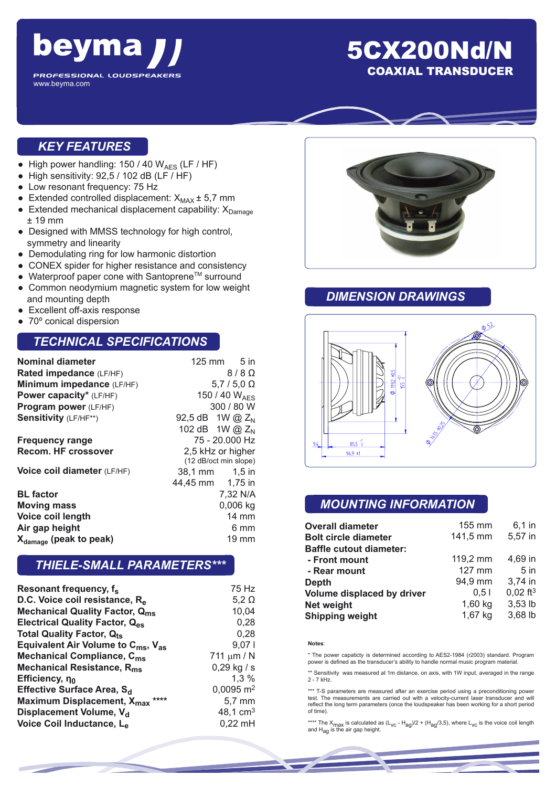

## 5CX200Nd/N COAXIAL TRANSDUCER

#### *KEY FEATURES*

- High power handling:  $150 / 40 W_{AES}$  (LF / HF)
- $\bullet$  High sensitivity: 92,5 / 102 dB (LF / HF)
- Low resonant frequency: 75 Hz
- Extended controlled displacement:  $X_{MAX}$   $\pm$  5,7 mm
- Extended mechanical displacement capability:  $X_{Damage}$ ± 19 mm
- Designed with MMSS technology for high control, symmetry and linearity
- Demodulating ring for low harmonic distortion
- CONEX spider for higher resistance and consistency
- $\bullet$  Waterproof paper cone with Santoprene<sup>TM</sup> surround
- Common neodymium magnetic system for low weight and mounting depth
- Excellent off-axis response
- 70° conical dispersion

#### *TECHNICAL SPECIFICATIONS*

| Nominal diameter<br>Rated impedance (LF/HF) | $125 \text{ mm}$ 5 in<br>$8/8$ $\Omega$ |  |
|---------------------------------------------|-----------------------------------------|--|
|                                             |                                         |  |
| Minimum impedance (LF/HF)                   | $5,7/5,0$ $\Omega$                      |  |
| Power capacity* (LF/HF)                     | 150 / 40 $W_{\text{AFS}}$               |  |
| Program power (LF/HF)                       | 300 / 80 W                              |  |
| Sensitivity (LF/HF**)                       | 92,5 dB 1W @ Z <sub>N</sub>             |  |
|                                             | 102 dB 1W @ Z <sub>N</sub>              |  |
| <b>Frequency range</b>                      | 75 - 20.000 Hz                          |  |
| Recom. HF crossover                         | 2,5 kHz or higher                       |  |
|                                             | (12 dB/oct min slope)                   |  |
| Voice coil diameter (LF/HF)                 | 38,1 mm   1,5 in                        |  |
|                                             | 44,45 mm 1,75 in                        |  |
| <b>BL</b> factor                            | 7,32 N/A                                |  |
| <b>Moving mass</b>                          | $0,006$ kg                              |  |
| Voice coil length                           | $14 \text{ mm}$                         |  |
| Air gap height                              | 6 mm                                    |  |
| X <sub>damage</sub> (peak to peak)          | 19 mm                                   |  |

#### *THIELE-SMALL PARAMETERS\*\*\**

| Resonant frequency, f <sub>s</sub>                         | 75 Hz                   |
|------------------------------------------------------------|-------------------------|
| D.C. Voice coil resistance, R <sub>e</sub>                 | $5,2 \Omega$            |
| <b>Mechanical Quality Factor, Qms</b>                      | 10,04                   |
| <b>Electrical Quality Factor, Q<sub>es</sub></b>           | 0,28                    |
| <b>Total Quality Factor, Qts</b>                           | 0,28                    |
| Equivalent Air Volume to C <sub>ms</sub> , V <sub>as</sub> | 9,071                   |
| <b>Mechanical Compliance, C<sub>ms</sub></b>               | 711 $\mu$ m / N         |
| Mechanical Resistance, R <sub>ms</sub>                     | $0,29$ kg / s           |
| Efficiency, no                                             | 1,3%                    |
| Effective Surface Area, S <sub>d</sub>                     | $0,0095$ m <sup>2</sup> |
| Maximum Displacement, X <sub>max</sub> ****                | 5,7 mm                  |
| Displacement Volume, V <sub>d</sub>                        | 48,1 $cm3$              |
| Voice Coil Inductance, Le                                  | $0,22$ mH               |



#### *DIMENSION DRAWINGS*



### *MOUNTING INFORMATION*

| <b>Overall diameter</b>        | 155 mm   | $6,1$ in               |
|--------------------------------|----------|------------------------|
| <b>Bolt circle diameter</b>    | 141,5 mm | 5,57 in                |
| <b>Baffle cutout diameter:</b> |          |                        |
| - Front mount                  | 119,2 mm | 4.69 in                |
| - Rear mount                   | 127 mm   | 5 <sub>in</sub>        |
| <b>Depth</b>                   | 94,9 mm  | 3,74 in                |
| Volume displaced by driver     | 0.51     | $0,02$ ft <sup>3</sup> |
| Net weight                     | 1,60 kg  | 3,53 lb                |
| <b>Shipping weight</b>         | 1,67 kg  | 3,68 lb                |

#### **Notes**:

\* The power capaticty is determined according to AES2-1984 (r2003) standard. Program power is defined as the transducer's ability to handle normal music program material.

\*\* Sensitivity was measured at 1m distance, on axis, with 1W input, averaged in the range 2 - 7 kHz.

\*\*\* T-S parameters are measured after an exercise period using a preconditioning power test. The measurements are carried out with a velocity-current laser transducer and will reflect the long term parameters (once the loudspeaker has been working for a short period of time).

\*\*\*\* The X<sub>max</sub> is calculated as (L<sub>VC</sub> - H<sub>ag</sub>)/2 + (H<sub>ag</sub>/3,5), where L<sub>VC</sub> is the voice coil length<br>and H<sub>ag</sub> is the air gap height.